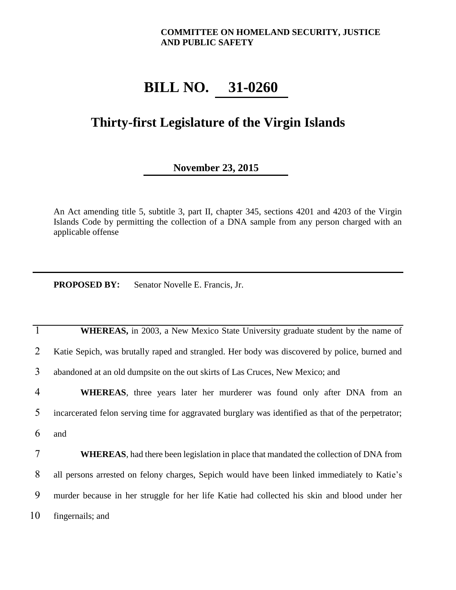## **COMMITTEE ON HOMELAND SECURITY, JUSTICE AND PUBLIC SAFETY**

## **BILL NO. 31-0260**

## **Thirty-first Legislature of the Virgin Islands**

## **November 23, 2015**

An Act amending title 5, subtitle 3, part II, chapter 345, sections 4201 and 4203 of the Virgin Islands Code by permitting the collection of a DNA sample from any person charged with an applicable offense

**PROPOSED BY:** Senator Novelle E. Francis, Jr.

**1 WHEREAS**, in 2003, a New Mexico State University graduate student by the name of 2 Katie Sepich, was brutally raped and strangled. Her body was discovered by police, burned and 3 abandoned at an old dumpsite on the out skirts of Las Cruces, New Mexico; and

4 **WHEREAS**, three years later her murderer was found only after DNA from an 5 incarcerated felon serving time for aggravated burglary was identified as that of the perpetrator; 6 and

 **WHEREAS**, had there been legislation in place that mandated the collection of DNA from 8 all persons arrested on felony charges, Sepich would have been linked immediately to Katie's murder because in her struggle for her life Katie had collected his skin and blood under her fingernails; and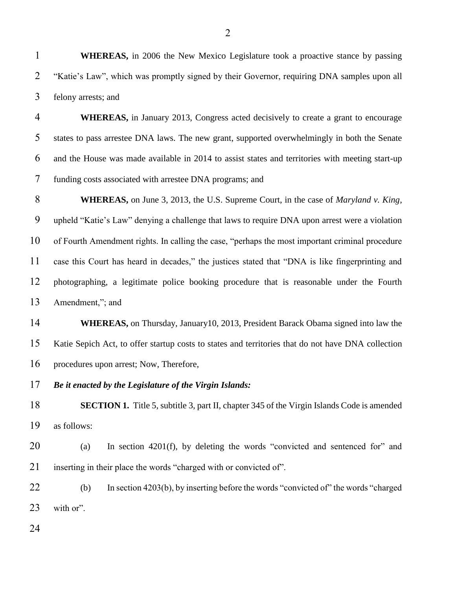**WHEREAS,** in 2006 the New Mexico Legislature took a proactive stance by passing "Katie's Law", which was promptly signed by their Governor, requiring DNA samples upon all felony arrests; and

 **WHEREAS,** in January 2013, Congress acted decisively to create a grant to encourage states to pass arrestee DNA laws. The new grant, supported overwhelmingly in both the Senate and the House was made available in 2014 to assist states and territories with meeting start-up funding costs associated with arrestee DNA programs; and

 **WHEREAS,** on June 3, 2013, the U.S. Supreme Court, in the case of *Maryland v. King*, upheld "Katie's Law" denying a challenge that laws to require DNA upon arrest were a violation of Fourth Amendment rights. In calling the case, "perhaps the most important criminal procedure case this Court has heard in decades," the justices stated that "DNA is like fingerprinting and photographing, a legitimate police booking procedure that is reasonable under the Fourth Amendment,"; and

 **WHEREAS,** on Thursday, January10, 2013, President Barack Obama signed into law the Katie Sepich Act, to offer startup costs to states and territories that do not have DNA collection procedures upon arrest; Now, Therefore,

*Be it enacted by the Legislature of the Virgin Islands:*

**SECTION 1.** Title 5, subtitle 3, part II, chapter 345 of the Virgin Islands Code is amended as follows:

 (a) In section 4201(f), by deleting the words "convicted and sentenced for" and inserting in their place the words "charged with or convicted of".

 (b) In section 4203(b), by inserting before the words "convicted of" the words "charged with or".